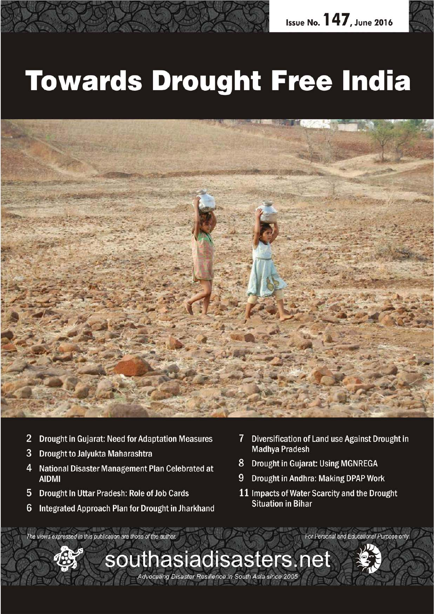

# **Towards Drought Free India**



southasiadisasters.net

Advocating Disaster Resilience in South Asia since 2005

- 2 Drought in Gujarat: Need for Adaptation Measures
- **Drought to Jalyukta Maharashtra** 3
- 4 National Disaster Management Plan Celebrated at **AIDMI**
- 5 Drought In Uttar Pradesh: Role of Job Cards
- $6\phantom{1}6$ Integrated Approach Plan for Drought in Jharkhand
- $7<sup>1</sup>$ Diversification of Land use Against Drought in **Madhya Pradesh**
- 8 Drought in Gujarat: Using MGNREGA
- **Drought in Andhra: Making DPAP Work** 9
- 11 Impacts of Water Scarcity and the Drought **Situation in Bihar**

For Personal and Educational Purpose only

The views expressed in this publication are those of the author.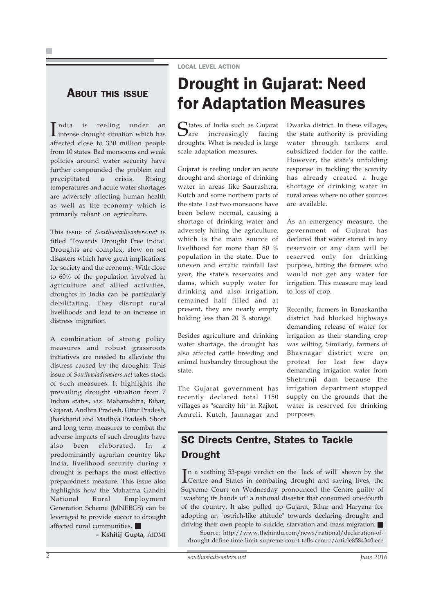#### ABOUT THIS ISSUE

India is reeling under an intense drought situation which has intense drought situation which has affected close to 330 million people from 10 states. Bad monsoons and weak policies around water security have further compounded the problem and precipitated a crisis. Rising temperatures and acute water shortages are adversely affecting human health as well as the economy which is primarily reliant on agriculture.

This issue of *Southasiadisasters.net* is titled 'Towards Drought Free India'. Droughts are complex, slow on set disasters which have great implications for society and the economy. With close to 60% of the population involved in agriculture and allied activities, droughts in India can be particularly debilitating. They disrupt rural livelihoods and lead to an increase in distress migration.

A combination of strong policy measures and robust grassroots initiatives are needed to alleviate the distress caused by the droughts. This issue of *Southasiadisasters.net* takes stock of such measures. It highlights the prevailing drought situation from 7 Indian states, viz. Maharashtra, Bihar, Gujarat, Andhra Pradesh, Uttar Pradesh, Jharkhand and Madhya Pradesh. Short and long term measures to combat the adverse impacts of such droughts have also been elaborated. In a predominantly agrarian country like India, livelihood security during a drought is perhaps the most effective preparedness measure. This issue also highlights how the Mahatma Gandhi National Rural Employment Generation Scheme (MNERGS) can be leveraged to provide succor to drought affected rural communities.

**– Kshitij Gupta,** AIDMI

### Drought in Gujarat: Need for Adaptation Measures

States of India such as Gujarat<br>Sare increasingly facing  $\sum$ are increasingly droughts. What is needed is large scale adaptation measures.

LOCAL LEVEL ACTION

Gujarat is reeling under an acute drought and shortage of drinking water in areas like Saurashtra, Kutch and some northern parts of the state. Last two monsoons have been below normal, causing a shortage of drinking water and adversely hitting the agriculture, which is the main source of livelihood for more than 80 % population in the state. Due to uneven and erratic rainfall last year, the state's reservoirs and dams, which supply water for drinking and also irrigation, remained half filled and at present, they are nearly empty holding less than 20 % storage.

Besides agriculture and drinking water shortage, the drought has also affected cattle breeding and animal husbandry throughout the state.

The Gujarat government has recently declared total 1150 villages as "scarcity hit" in Rajkot, Amreli, Kutch, Jamnagar and

Dwarka district. In these villages, the state authority is providing water through tankers and subsidized fodder for the cattle. However, the state's unfolding response in tackling the scarcity has already created a huge shortage of drinking water in rural areas where no other sources are available.

As an emergency measure, the government of Gujarat has declared that water stored in any reservoir or any dam will be reserved only for drinking purpose, hitting the farmers who would not get any water for irrigation. This measure may lead to loss of crop.

Recently, farmers in Banaskantha district had blocked highways demanding release of water for irrigation as their standing crop was wilting. Similarly, farmers of Bhavnagar district were on protest for last few days demanding irrigation water from Shetrunji dam because the irrigation department stopped supply on the grounds that the water is reserved for drinking purposes.

### SC Directs Centre, States to Tackle Drought

In a scathing 53-page verdict on the "lack of will" shown by the Centre and States in combating drought and saving lives, the Centre and States in combating drought and saving lives, the Supreme Court on Wednesday pronounced the Centre guilty of "washing its hands of" a national disaster that consumed one-fourth of the country. It also pulled up Gujarat, Bihar and Haryana for adopting an "ostrich-like attitude" towards declaring drought and driving their own people to suicide, starvation and mass migration.

Source: http://www.thehindu.com/news/national/declaration-ofdrought-define-time-limit-supreme-court-tells-centre/article8584340.ece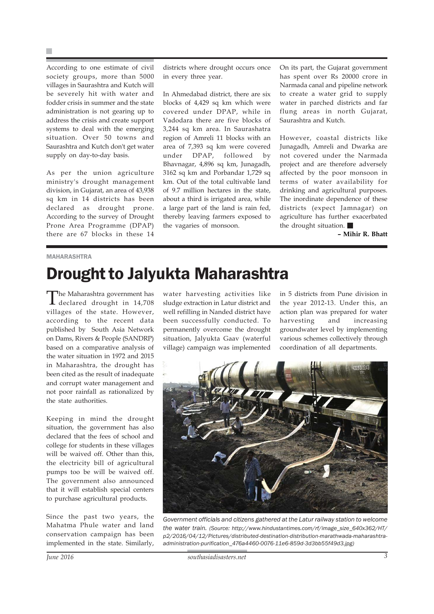According to one estimate of civil society groups, more than 5000 villages in Saurashtra and Kutch will be severely hit with water and fodder crisis in summer and the state administration is not gearing up to address the crisis and create support systems to deal with the emerging situation. Over 50 towns and Saurashtra and Kutch don't get water supply on day-to-day basis.

As per the union agriculture ministry's drought management division, in Gujarat, an area of 43,938 sq km in 14 districts has been declared as drought prone. According to the survey of Drought Prone Area Programme (DPAP) there are 67 blocks in these 14

districts where drought occurs once in every three year.

In Ahmedabad district, there are six blocks of 4,429 sq km which were covered under DPAP, while in Vadodara there are five blocks of 3,244 sq km area. In Saurashatra region of Amreli 11 blocks with an area of 7,393 sq km were covered under DPAP, followed by Bhavnagar, 4,896 sq km, Junagadh, 3162 sq km and Porbandar 1,729 sq km. Out of the total cultivable land of 9.7 million hectares in the state, about a third is irrigated area, while a large part of the land is rain fed, thereby leaving farmers exposed to the vagaries of monsoon.

On its part, the Gujarat government has spent over Rs 20000 crore in Narmada canal and pipeline network to create a water grid to supply water in parched districts and far flung areas in north Gujarat, Saurashtra and Kutch.

However, coastal districts like Junagadh, Amreli and Dwarka are not covered under the Narmada project and are therefore adversely affected by the poor monsoon in terms of water availability for drinking and agricultural purposes. The inordinate dependence of these districts (expect Jamnagar) on agriculture has further exacerbated the drought situation.

**– Mihir R. Bhatt**

#### MAHARASHTRA

### Drought to Jalyukta Maharashtra

The Maharashtra government has declared drought in 14,708 villages of the state. However, according to the recent data published by South Asia Network on Dams, Rivers & People (SANDRP) based on a comparative analysis of the water situation in 1972 and 2015 in Maharashtra, the drought has been cited as the result of inadequate and corrupt water management and not poor rainfall as rationalized by the state authorities.

Keeping in mind the drought situation, the government has also declared that the fees of school and college for students in these villages will be waived off. Other than this, the electricity bill of agricultural pumps too be will be waived off. The government also announced that it will establish special centers to purchase agricultural products.

Since the past two years, the Mahatma Phule water and land conservation campaign has been implemented in the state. Similarly, water harvesting activities like sludge extraction in Latur district and well refilling in Nanded district have been successfully conducted. To permanently overcome the drought situation, Jalyukta Gaav (waterful village) campaign was implemented

in 5 districts from Pune division in the year 2012-13. Under this, an action plan was prepared for water harvesting and increasing groundwater level by implementing various schemes collectively through coordination of all departments.



*Government officials and citizens gathered at the Latur railway station to welcome the water train. (Source: http://www.hindustantimes.com/rf/image\_size\_640x362/HT/ p2/2016/04/12/Pictures/distributed-destination-distribution-marathwada-maharashtraadministration-purification\_476a4460-0076-11e6-859d-3d3bb55f49d3.jpg)*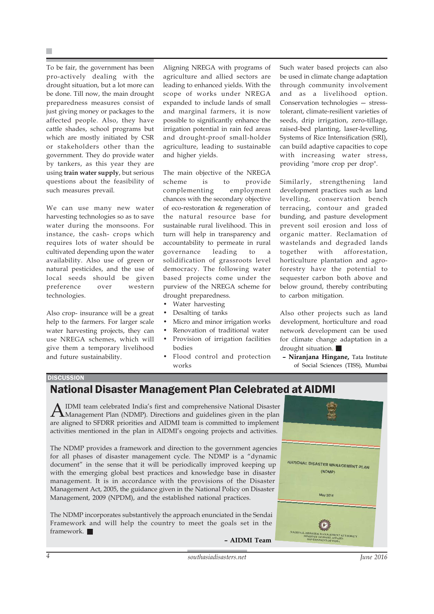To be fair, the government has been pro-actively dealing with the drought situation, but a lot more can be done. Till now, the main drought preparedness measures consist of just giving money or packages to the affected people. Also, they have cattle shades, school programs but which are mostly initiated by CSR or stakeholders other than the government. They do provide water by tankers, as this year they are using **train water supply**, but serious questions about the feasibility of such measures prevail.

We can use many new water harvesting technologies so as to save water during the monsoons. For instance, the cash- crops which requires lots of water should be cultivated depending upon the water availability. Also use of green or natural pesticides, and the use of local seeds should be given preference over western technologies.

Also crop- insurance will be a great help to the farmers. For larger scale water harvesting projects, they can use NREGA schemes, which will give them a temporary livelihood and future sustainability.

Aligning NREGA with programs of agriculture and allied sectors are leading to enhanced yields. With the scope of works under NREGA expanded to include lands of small and marginal farmers, it is now possible to significantly enhance the irrigation potential in rain fed areas and drought-proof small-holder agriculture, leading to sustainable and higher yields.

The main objective of the NREGA scheme is to provide complementing employment chances with the secondary objective of eco-restoration & regeneration of the natural resource base for sustainable rural livelihood. This in turn will help in transparency and accountability to permeate in rural governance leading to a solidification of grassroots level democracy. The following water based projects come under the purview of the NREGA scheme for drought preparedness.

- Water harvesting
- Desalting of tanks
- Micro and minor irrigation works
- Renovation of traditional water
- Provision of irrigation facilities bodies
- Flood control and protection works

Such water based projects can also be used in climate change adaptation through community involvement and as a livelihood option. Conservation technologies — stresstolerant, climate-resilient varieties of seeds, drip irrigation, zero-tillage, raised-bed planting, laser-levelling, Systems of Rice Intensification (SRI), can build adaptive capacities to cope with increasing water stress, providing "more crop per drop".

Similarly, strengthening land development practices such as land levelling, conservation bench terracing, contour and graded bunding, and pasture development prevent soil erosion and loss of organic matter. Reclamation of wastelands and degraded lands together with afforestation, horticulture plantation and agroforestry have the potential to sequester carbon both above and below ground, thereby contributing to carbon mitigation.

Also other projects such as land development, horticulture and road network development can be used for climate change adaptation in a drought situation.

**– Niranjana Hingane,** Tata Institute of Social Sciences (TISS), Mumbai

#### **DISCUSSION**

### National Disaster Management Plan Celebrated at AIDMI

AIDMI team celebrated India's first and comprehensive National Disaster<br>Management Plan (NDMP). Directions and guidelines given in the plan are aligned to SFDRR priorities and AIDMI team is committed to implement activities mentioned in the plan in AIDMI's ongoing projects and activities.

The NDMP provides a framework and direction to the government agencies for all phases of disaster management cycle. The NDMP is a "dynamic document" in the sense that it will be periodically improved keeping up with the emerging global best practices and knowledge base in disaster management. It is in accordance with the provisions of the Disaster Management Act, 2005, the guidance given in the National Policy on Disaster Management, 2009 (NPDM), and the established national practices.

The NDMP incorporates substantively the approach enunciated in the Sendai Framework and will help the country to meet the goals set in the framework.

NATIONAL DISASTER MANAGEMENT PLAN  $(NDMP)$ May 2016

**– AIDMI Team**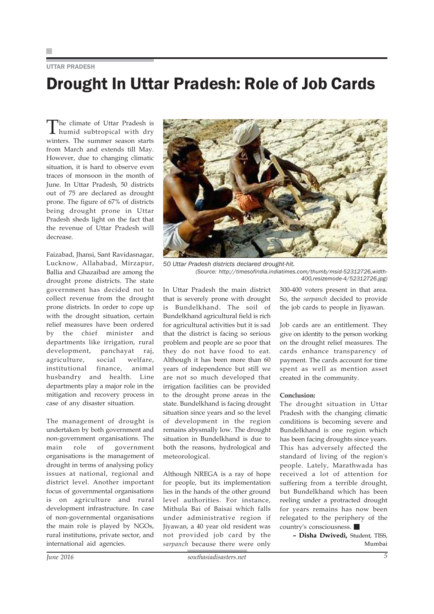UTTAR PRADESH

## Drought In Uttar Pradesh: Role of Job Cards

The climate of Uttar Pradesh is humid subtropical with dry winters. The summer season starts from March and extends till May. However, due to changing climatic situation, it is hard to observe even traces of monsoon in the month of June. In Uttar Pradesh, 50 districts out of 75 are declared as drought prone. The figure of 67% of districts being drought prone in Uttar Pradesh sheds light on the fact that the revenue of Uttar Pradesh will decrease.

Faizabad, Jhansi, Sant Ravidasnagar, Lucknow, Allahabad, Mirzapur, Ballia and Ghazaibad are among the drought prone districts. The state government has decided not to collect revenue from the drought prone districts. In order to cope up with the drought situation, certain relief measures have been ordered by the chief minister and departments like irrigation, rural development, panchayat raj, agriculture, social welfare, institutional finance, animal husbandry and health. Line departments play a major role in the mitigation and recovery process in case of any disaster situation.

The management of drought is undertaken by both government and non-government organisations. The main role of government organisations is the management of drought in terms of analysing policy issues at national, regional and district level. Another important focus of governmental organisations is on agriculture and rural development infrastructure. In case of non-governmental organisations the main role is played by NGOs, rural institutions, private sector, and international aid agencies.



*50 Uttar Pradesh districts declared drought-hit. (Source: http://timesofindia.indiatimes.com/thumb/msid-52312726,width-400,resizemode-4/52312726.jpg)*

In Uttar Pradesh the main district that is severely prone with drought is Bundelkhand. The soil of Bundelkhand agricultural field is rich for agricultural activities but it is sad that the district is facing so serious problem and people are so poor that they do not have food to eat. Although it has been more than 60 years of independence but still we are not so much developed that irrigation facilities can be provided to the drought prone areas in the state. Bundelkhand is facing drought situation since years and so the level of development in the region remains abysmally low. The drought situation in Bundelkhand is due to both the reasons, hydrological and meteorological.

Although NREGA is a ray of hope for people, but its implementation lies in the hands of the other ground level authorities. For instance, Mithula Bai of Baisai which falls under administrative region if Jiyawan, a 40 year old resident was not provided job card by the *sarpanch* because there were only

300-400 voters present in that area. So, the *sarpanch* decided to provide the job cards to people in Jiyawan.

Job cards are an entitlement. They give on identity to the person working on the drought relief measures. The cards enhance transparency of payment. The cards account for time spent as well as mention asset created in the community.

#### **Conclusion:**

The drought situation in Uttar Pradesh with the changing climatic conditions is becoming severe and Bundelkhand is one region which has been facing droughts since years. This has adversely affected the standard of living of the region's people. Lately, Marathwada has received a lot of attention for suffering from a terrible drought, but Bundelkhand which has been reeling under a protracted drought for years remains has now been relegated to the periphery of the country's consciousness.

**– Disha Dwivedi,** Student, TISS, Mumbai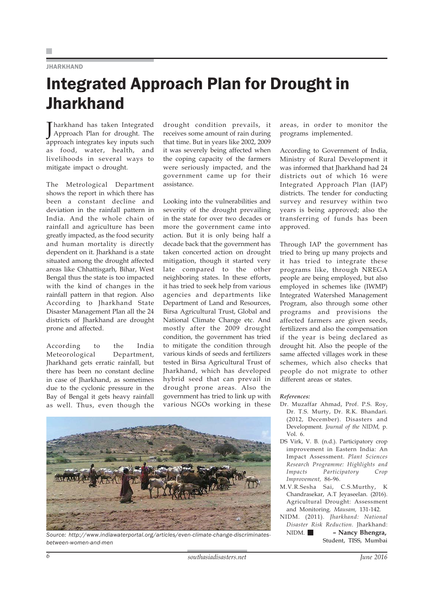#### JHARKHAND

### Integrated Approach Plan for Drought in **Jharkhand**

J Approach Plan for drought. The harkhand has taken Integrated approach integrates key inputs such as food, water, health, and livelihoods in several ways to mitigate impact o drought.

The Metrological Department shows the report in which there has been a constant decline and deviation in the rainfall pattern in India. And the whole chain of rainfall and agriculture has been greatly impacted, as the food security and human mortality is directly dependent on it. Jharkhand is a state situated among the drought affected areas like Chhattisgarh, Bihar, West Bengal thus the state is too impacted with the kind of changes in the rainfall pattern in that region. Also According to Jharkhand State Disaster Management Plan all the 24 districts of Jharkhand are drought prone and affected.

According to the India Meteorological Department, Jharkhand gets erratic rainfall, but there has been no constant decline in case of Jharkhand, as sometimes due to the cyclonic pressure in the Bay of Bengal it gets heavy rainfall as well. Thus, even though the

drought condition prevails, it receives some amount of rain during that time. But in years like 2002, 2009 it was severely being affected when the coping capacity of the farmers were seriously impacted, and the government came up for their assistance.

Looking into the vulnerabilities and severity of the drought prevailing in the state for over two decades or more the government came into action. But it is only being half a decade back that the government has taken concerted action on drought mitigation, though it started very late compared to the other neighboring states. In these efforts, it has tried to seek help from various agencies and departments like Department of Land and Resources, Birsa Agricultural Trust, Global and National Climate Change etc. And mostly after the 2009 drought condition, the government has tried to mitigate the condition through various kinds of seeds and fertilizers tested in Birsa Agricultural Trust of Jharkhand, which has developed hybrid seed that can prevail in drought prone areas. Also the government has tried to link up with various NGOs working in these



*Source: http://www.indiawaterportal.org/articles/even-climate-change-discriminatesbetween-women-and-men*

areas, in order to monitor the programs implemented.

According to Government of India, Ministry of Rural Development it was informed that Jharkhand had 24 districts out of which 16 were Integrated Approach Plan (IAP) districts. The tender for conducting survey and resurvey within two years is being approved; also the transferring of funds has been approved.

Through IAP the government has tried to bring up many projects and it has tried to integrate these programs like, through NREGA people are being employed, but also employed in schemes like (IWMP) Integrated Watershed Management Program, also through some other programs and provisions the affected farmers are given seeds, fertilizers and also the compensation if the year is being declared as drought hit. Also the people of the same affected villages work in these schemes, which also checks that people do not migrate to other different areas or states.

#### *References:*

- Dr. Muzaffar Ahmad, Prof. P.S. Roy, Dr. T.S. Murty, Dr. R.K. Bhandari. (2012, December). Disasters and Development. *Journal of the NIDM,* p. Vol. 6.
- DS Virk, V. B. (n.d.). Participatory crop improvement in Eastern India: An Impact Assessment. *Plant Sciences Research Programme: Highlights and Impacts Participatory Crop Improvement,* 86-96.
- M.V.R.Sesha Sai, C.S.Murthy, K Chandrasekar, A.T Jeyaseelan. (2016). Agricultural Drought: Assessment and Monitoring. *Mausam,* 131-142.
- NIDM. (2011). *Jharkhand: National Disaster Risk Reduction.* Jharkhand: NIDM. **– Nancy Bhengra,** Student, TISS, Mumbai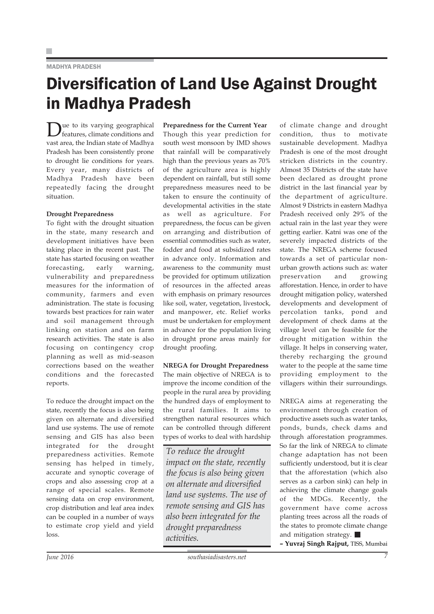#### MADHYA PRADESH

### Diversification of Land Use Against Drought in Madhya Pradesh

Due to its varying geographical features, climate conditions and vast area, the Indian state of Madhya Pradesh has been consistently prone to drought lie conditions for years. Every year, many districts of Madhya Pradesh have been repeatedly facing the drought situation.

#### **Drought Preparedness**

To fight with the drought situation in the state, many research and development initiatives have been taking place in the recent past. The state has started focusing on weather forecasting, early warning, vulnerability and preparedness measures for the information of community, farmers and even administration. The state is focusing towards best practices for rain water and soil management through linking on station and on farm research activities. The state is also focusing on contingency crop planning as well as mid-season corrections based on the weather conditions and the forecasted reports.

To reduce the drought impact on the state, recently the focus is also being given on alternate and diversified land use systems. The use of remote sensing and GIS has also been integrated for the drought preparedness activities. Remote sensing has helped in timely, accurate and synoptic coverage of crops and also assessing crop at a range of special scales. Remote sensing data on crop environment, crop distribution and leaf area index can be coupled in a number of ways to estimate crop yield and yield loss.

**Preparedness for the Current Year** Though this year prediction for south west monsoon by IMD shows that rainfall will be comparatively high than the previous years as 70% of the agriculture area is highly dependent on rainfall, but still some preparedness measures need to be taken to ensure the continuity of developmental activities in the state as well as agriculture. For preparedness, the focus can be given on arranging and distribution of essential commodities such as water, fodder and food at subsidized rates in advance only. Information and awareness to the community must be provided for optimum utilization of resources in the affected areas with emphasis on primary resources like soil, water, vegetation, livestock, and manpower, etc. Relief works must be undertaken for employment in advance for the population living in drought prone areas mainly for drought proofing.

#### **NREGA for Drought Preparedness**

The main objective of NREGA is to improve the income condition of the people in the rural area by providing the hundred days of employment to the rural families. It aims to strengthen natural resources which can be controlled through different types of works to deal with hardship

*To reduce the drought impact on the state, recently the focus is also being given on alternate and diversified land use systems. The use of remote sensing and GIS has also been integrated for the drought preparedness activities.*

of climate change and drought condition, thus to motivate sustainable development. Madhya Pradesh is one of the most drought stricken districts in the country. Almost 35 Districts of the state have been declared as drought prone district in the last financial year by the department of agriculture. Almost 9 Districts in eastern Madhya Pradesh received only 29% of the actual rain in the last year they were getting earlier. Katni was one of the severely impacted districts of the state. The NREGA scheme focused towards a set of particular nonurban growth actions such as: water preservation and growing afforestation. Hence, in order to have drought mitigation policy, watershed developments and development of percolation tanks, pond and development of check dams at the village level can be feasible for the drought mitigation within the village. It helps in conserving water, thereby recharging the ground water to the people at the same time providing employment to the villagers within their surroundings.

NREGA aims at regenerating the environment through creation of productive assets such as water tanks, ponds, bunds, check dams and through afforestation programmes. So far the link of NREGA to climate change adaptation has not been sufficiently understood, but it is clear that the afforestation (which also serves as a carbon sink) can help in achieving the climate change goals of the MDGs. Recently, the government have come across planting trees across all the roads of the states to promote climate change and mitigation strategy.

**– Yuvraj Singh Rajput,** TISS, Mumbai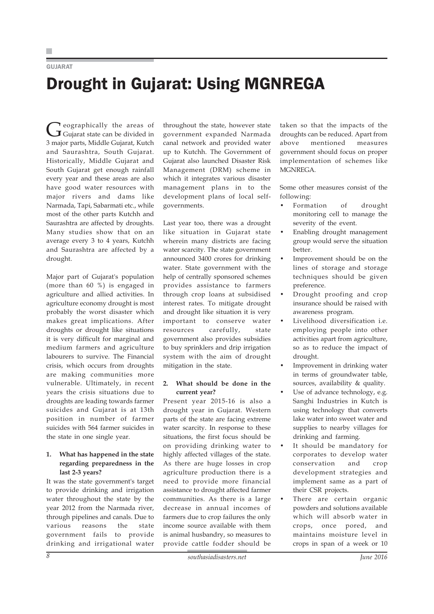#### GUJARAT

## Drought in Gujarat: Using MGNREGA

Geographically the areas of<br>Gujarat state can be divided in 3 major parts, Middle Gujarat, Kutch and Saurashtra, South Gujarat. Historically, Middle Gujarat and South Gujarat get enough rainfall every year and these areas are also have good water resources with major rivers and dams like Narmada, Tapi, Sabarmati etc., while most of the other parts Kutchh and Saurashtra are affected by droughts. Many studies show that on an average every 3 to 4 years, Kutchh and Saurashtra are affected by a drought.

Major part of Gujarat's population (more than 60 %) is engaged in agriculture and allied activities. In agriculture economy drought is most probably the worst disaster which makes great implications. After droughts or drought like situations it is very difficult for marginal and medium farmers and agriculture labourers to survive. The Financial crisis, which occurs from droughts are making communities more vulnerable. Ultimately, in recent years the crisis situations due to droughts are leading towards farmer suicides and Gujarat is at 13th position in number of farmer suicides with 564 farmer suicides in the state in one single year.

#### **1. What has happened in the state regarding preparedness in the last 2-3 years?**

It was the state government's target to provide drinking and irrigation water throughout the state by the year 2012 from the Narmada river, through pipelines and canals. Due to various reasons the state government fails to provide drinking and irrigational water throughout the state, however state government expanded Narmada canal network and provided water up to Kutchh. The Government of Gujarat also launched Disaster Risk Management (DRM) scheme in which it integrates various disaster management plans in to the development plans of local selfgovernments.

Last year too, there was a drought like situation in Gujarat state wherein many districts are facing water scarcity. The state government announced 3400 crores for drinking water. State government with the help of centrally sponsored schemes provides assistance to farmers through crop loans at subsidised interest rates. To mitigate drought and drought like situation it is very important to conserve water resources carefully, state government also provides subsidies to buy sprinklers and drip irrigation system with the aim of drought mitigation in the state.

#### **2. What should be done in the current year?**

Present year 2015-16 is also a drought year in Gujarat. Western parts of the state are facing extreme water scarcity. In response to these situations, the first focus should be on providing drinking water to highly affected villages of the state. As there are huge losses in crop agriculture production there is a need to provide more financial assistance to drought affected farmer communities. As there is a large decrease in annual incomes of farmers due to crop failures the only income source available with them is animal husbandry, so measures to provide cattle fodder should be

taken so that the impacts of the droughts can be reduced. Apart from above mentioned measures government should focus on proper implementation of schemes like MGNREGA.

Some other measures consist of the following:

- Formation of drought monitoring cell to manage the severity of the event.
- Enabling drought management group would serve the situation better.
- Improvement should be on the lines of storage and storage techniques should be given preference.
- Drought proofing and crop insurance should be raised with awareness program.
- Livelihood diversification i.e. employing people into other activities apart from agriculture, so as to reduce the impact of drought.
- Improvement in drinking water in terms of groundwater table, sources, availability & quality.
- Use of advance technology, e.g. Sanghi Industries in Kutch is using technology that converts lake water into sweet water and supplies to nearby villages for drinking and farming.
- It should be mandatory for corporates to develop water conservation and crop development strategies and implement same as a part of their CSR projects.
- There are certain organic powders and solutions available which will absorb water in crops, once pored, and maintains moisture level in crops in span of a week or 10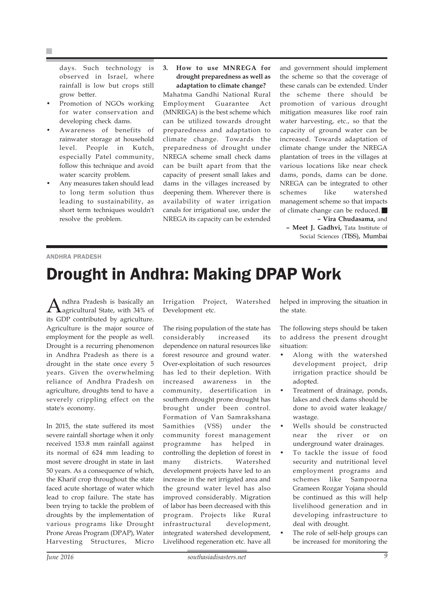F.

days. Such technology is observed in Israel, where rainfall is low but crops still grow better.

- Promotion of NGOs working for water conservation and developing check dams.
- Awareness of benefits of rainwater storage at household level. People in Kutch, especially Patel community, follow this technique and avoid water scarcity problem.
- Any measures taken should lead to long term solution thus leading to sustainability, as short term techniques wouldn't resolve the problem.

#### **3. How to use MNREGA for drought preparedness as well as adaptation to climate change?**

Mahatma Gandhi National Rural Employment Guarantee Act (MNREGA) is the best scheme which can be utilized towards drought preparedness and adaptation to climate change. Towards the preparedness of drought under NREGA scheme small check dams can be built apart from that the capacity of present small lakes and dams in the villages increased by deepening them. Wherever there is availability of water irrigation canals for irrigational use, under the NREGA its capacity can be extended

and government should implement the scheme so that the coverage of these canals can be extended. Under the scheme there should be promotion of various drought mitigation measures like roof rain water harvesting, etc., so that the capacity of ground water can be increased. Towards adaptation of climate change under the NREGA plantation of trees in the villages at various locations like near check dams, ponds, dams can be done. NREGA can be integrated to other schemes like watershed management scheme so that impacts of climate change can be reduced. **– Vira Chudasama,** and

**– Meet J. Gadhvi,** Tata Institute of Social Sciences (TISS), Mumbai

#### ANDHRA PRADESH

### Drought in Andhra: Making DPAP Work

Andhra Pradesh is basically an<br>Aagricultural State, with 34% of its GDP contributed by agriculture. Agriculture is the major source of employment for the people as well. Drought is a recurring phenomenon in Andhra Pradesh as there is a drought in the state once every 5 years. Given the overwhelming reliance of Andhra Pradesh on agriculture, droughts tend to have a severely crippling effect on the state's economy.

In 2015, the state suffered its most severe rainfall shortage when it only received 153.8 mm rainfall against its normal of 624 mm leading to most severe drought in state in last 50 years. As a consequence of which, the Kharif crop throughout the state faced acute shortage of water which lead to crop failure. The state has been trying to tackle the problem of droughts by the implementation of various programs like Drought Prone Areas Program (DPAP), Water Harvesting Structures, Micro

Irrigation Project, Watershed Development etc.

The rising population of the state has considerably increased its dependence on natural resources like forest resource and ground water. Over-exploitation of such resources has led to their depletion. With increased awareness in the community, desertification in southern drought prone drought has brought under been control. Formation of Van Samrakshana Samithies (VSS) under the community forest management programme has helped in controlling the depletion of forest in many districts. Watershed development projects have led to an increase in the net irrigated area and the ground water level has also improved considerably. Migration of labor has been decreased with this program. Projects like Rural infrastructural development, integrated watershed development, Livelihood regeneration etc. have all

helped in improving the situation in the state.

The following steps should be taken to address the present drought situation:

- Along with the watershed development project, drip irrigation practice should be adopted.
- Treatment of drainage, ponds, lakes and check dams should be done to avoid water leakage/ wastage.
- Wells should be constructed near the river or on underground water drainages.
- To tackle the issue of food security and nutritional level employment programs and schemes like Sampoorna Grameen Rozgar Yojana should be continued as this will help livelihood generation and in developing infrastructure to deal with drought.
- The role of self-help groups can be increased for monitoring the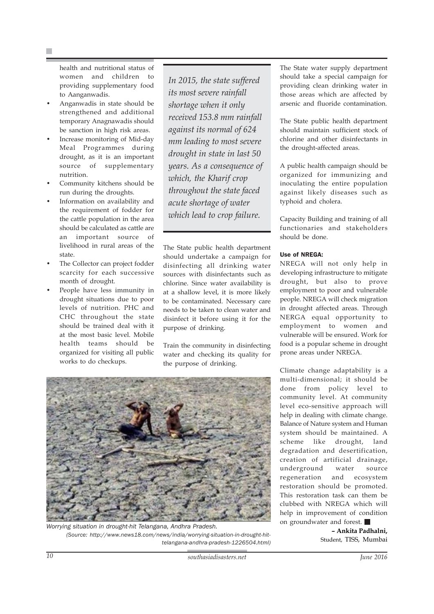health and nutritional status of women and children to providing supplementary food to Aanganwadis.

- Anganwadis in state should be strengthened and additional temporary Anagnawadis should be sanction in high risk areas.
- Increase monitoring of Mid-day Meal Programmes during drought, as it is an important source of supplementary nutrition.
- Community kitchens should be run during the droughts.
- Information on availability and the requirement of fodder for the cattle population in the area should be calculated as cattle are an important source of livelihood in rural areas of the state.
- The Collector can project fodder scarcity for each successive month of drought.
- People have less immunity in drought situations due to poor levels of nutrition. PHC and CHC throughout the state should be trained deal with it at the most basic level. Mobile health teams should be organized for visiting all public works to do checkups.

*In 2015, the state suffered its most severe rainfall shortage when it only received 153.8 mm rainfall against its normal of 624 mm leading to most severe drought in state in last 50 years. As a consequence of which, the Kharif crop throughout the state faced acute shortage of water which lead to crop failure.*

The State public health department should undertake a campaign for disinfecting all drinking water sources with disinfectants such as chlorine. Since water availability is at a shallow level, it is more likely to be contaminated. Necessary care needs to be taken to clean water and disinfect it before using it for the purpose of drinking.

Train the community in disinfecting water and checking its quality for the purpose of drinking.



*Worrying situation in drought-hit Telangana, Andhra Pradesh. (Source: http://www.news18.com/news/india/worrying-situation-in-drought-hittelangana-andhra-pradesh-1226504.html)*

The State water supply department should take a special campaign for providing clean drinking water in those areas which are affected by arsenic and fluoride contamination.

The State public health department should maintain sufficient stock of chlorine and other disinfectants in the drought-affected areas.

A public health campaign should be organized for immunizing and inoculating the entire population against likely diseases such as typhoid and cholera.

Capacity Building and training of all functionaries and stakeholders should be done.

#### Use of NREGA:

NREGA will not only help in developing infrastructure to mitigate drought, but also to prove employment to poor and vulnerable people. NREGA will check migration in drought affected areas. Through NERGA equal opportunity to employment to women and vulnerable will be ensured. Work for food is a popular scheme in drought prone areas under NREGA.

Climate change adaptability is a multi-dimensional; it should be done from policy level to community level. At community level eco-sensitive approach will help in dealing with climate change. Balance of Nature system and Human system should be maintained. A scheme like drought, land degradation and desertification, creation of artificial drainage, underground water source regeneration and ecosystem restoration should be promoted. This restoration task can them be clubbed with NREGA which will help in improvement of condition on groundwater and forest.

> **– Ankita Padhalni,** Student, TISS, Mumbai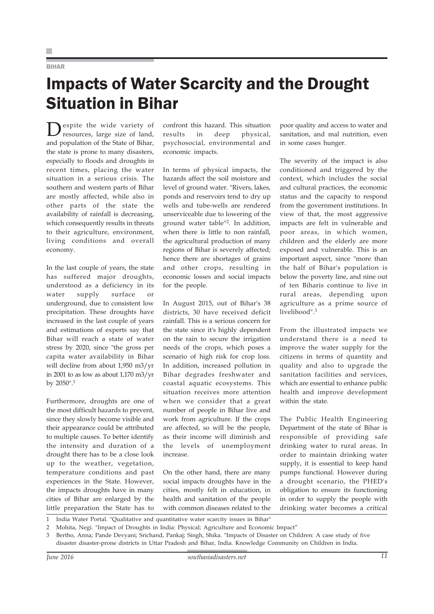#### BIHAR

### Impacts of Water Scarcity and the Drought Situation in Bihar

Despite the wide variety of resources, large size of land, and population of the State of Bihar, the state is prone to many disasters, especially to floods and droughts in recent times, placing the water situation in a serious crisis. The southern and western parts of Bihar are mostly affected, while also in other parts of the state the availability of rainfall is decreasing, which consequently results in threats to their agriculture, environment, living conditions and overall economy.

In the last couple of years, the state has suffered major droughts, understood as a deficiency in its water supply surface or underground, due to consistent low precipitation. These droughts have increased in the last couple of years and estimations of experts say that Bihar will reach a state of water stress by 2020, since "the gross per capita water availability in Bihar will decline from about 1,950 m3/yr in 2001 to as low as about 1,170 m3/yr by 2050".<sup>1</sup>

Furthermore, droughts are one of the most difficult hazards to prevent, since they slowly become visible and their appearance could be attributed to multiple causes. To better identify the intensity and duration of a drought there has to be a close look up to the weather, vegetation, temperature conditions and past experiences in the State. However, the impacts droughts have in many cities of Bihar are enlarged by the little preparation the State has to

confront this hazard. This situation results in deep physical, psychosocial, environmental and economic impacts.

In terms of physical impacts, the hazards affect the soil moisture and level of ground water. "Rivers, lakes, ponds and reservoirs tend to dry up wells and tube-wells are rendered unserviceable due to lowering of the ground water table"2. In addition, when there is little to non rainfall, the agricultural production of many regions of Bihar is severely affected; hence there are shortages of grains and other crops, resulting in economic losses and social impacts for the people.

In August 2015, out of Bihar's 38 districts, 30 have received deficit rainfall. This is a serious concern for the state since it's highly dependent on the rain to secure the irrigation needs of the crops, which poses a scenario of high risk for crop loss. In addition, increased pollution in Bihar degrades freshwater and coastal aquatic ecosystems. This situation receives more attention when we consider that a great number of people in Bihar live and work from agriculture. If the crops are affected, so will be the people, as their income will diminish and the levels of unemployment increase.

On the other hand, there are many social impacts droughts have in the cities, mostly felt in education, in health and sanitation of the people with common diseases related to the

poor quality and access to water and sanitation, and mal nutrition, even in some cases hunger.

The severity of the impact is also conditioned and triggered by the context, which includes the social and cultural practices, the economic status and the capacity to respond from the government institutions. In view of that, the most aggressive impacts are felt in vulnerable and poor areas, in which women, children and the elderly are more exposed and vulnerable. This is an important aspect, since "more than the half of Bihar's population is below the poverty line, and nine out of ten Biharis continue to live in rural areas, depending upon agriculture as a prime source of livelihood".<sup>3</sup>

From the illustrated impacts we understand there is a need to improve the water supply for the citizens in terms of quantity and quality and also to upgrade the sanitation facilities and services, which are essential to enhance public health and improve development within the state.

The Public Health Engineering Department of the state of Bihar is responsible of providing safe drinking water to rural areas. In order to maintain drinking water supply, it is essential to keep hand pumps functional. However during a drought scenario, the PHED's obligation to ensure its functioning in order to supply the people with drinking water becomes a critical

- 1 India Water Portal. "Qualitative and quantitative water scarcity issues in Bihar"
- 2 Mohita, Negi. "Impact of Droughts in India: Physical; Agriculture and Economic Impact"
- 3 Bertho, Anna; Pande Devyani; Srichand, Pankaj; Singh, Shika. "Impacts of Disaster on Children: A case study of five disaster disaster-prone districts in Uttar Pradesh and Bihar, India. Knowledge Community on Children in India.